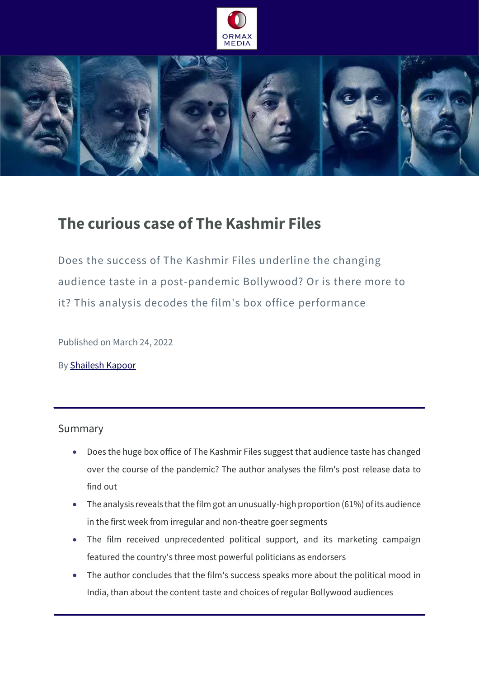



# **The curious case of The Kashmir Files**

Does the success of The Kashmir Files underline the changing audience taste in a post-pandemic Bollywood? Or is there more to it? This analysis decodes the film's box office performance

Published on March 24, 2022

By [Shailesh Kapoor](https://www.ormaxmedia.com/about-us/meet-the-team/shailesh-kapoor.html)

## Summary

- Does the huge box office of The Kashmir Files suggest that audience taste has changed over the course of the pandemic? The author analyses the film's post release data to find out
- The analysis reveals that the film got an unusually-high proportion (61%) of its audience in the first week from irregular and non-theatre goer segments
- The film received unprecedented political support, and its marketing campaign featured the country's three most powerful politicians as endorsers
- The author concludes that the film's success speaks more about the political mood in India, than about the content taste and choices of regular Bollywood audiences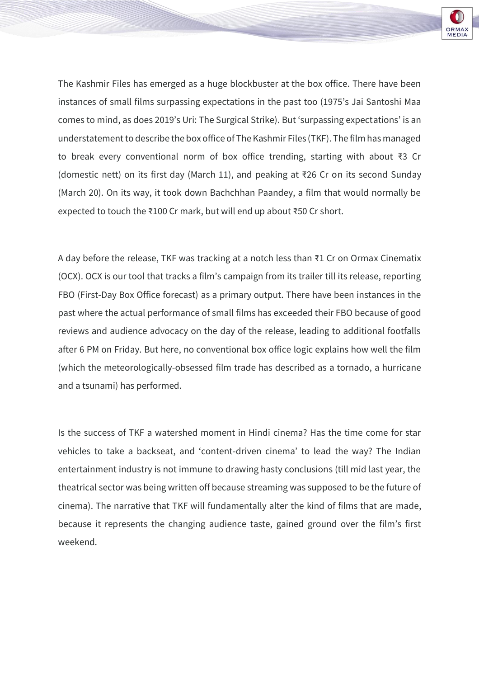

The Kashmir Files has emerged as a huge blockbuster at the box office. There have been instances of small films surpassing expectations in the past too (1975's Jai Santoshi Maa comes to mind, as does 2019's Uri: The Surgical Strike). But 'surpassing expectations' is an understatement to describe the box office of The Kashmir Files (TKF). The film has managed to break every conventional norm of box office trending, starting with about ₹3 Cr (domestic nett) on its first day (March 11), and peaking at ₹26 Cr on its second Sunday (March 20). On its way, it took down Bachchhan Paandey, a film that would normally be expected to touch the ₹100 Cr mark, but will end up about ₹50 Cr short.

A day before the release, TKF was tracking at a notch less than ₹1 Cr on Ormax Cinematix (OCX). OCX is our tool that tracks a film's campaign from its trailer till its release, reporting FBO (First-Day Box Office forecast) as a primary output. There have been instances in the past where the actual performance of small films has exceeded their FBO because of good reviews and audience advocacy on the day of the release, leading to additional footfalls after 6 PM on Friday. But here, no conventional box office logic explains how well the film (which the meteorologically-obsessed film trade has described as a tornado, a hurricane and a tsunami) has performed.

Is the success of TKF a watershed moment in Hindi cinema? Has the time come for star vehicles to take a backseat, and 'content-driven cinema' to lead the way? The Indian entertainment industry is not immune to drawing hasty conclusions (till mid last year, the theatrical sector was being written off because streaming was supposed to be the future of cinema). The narrative that TKF will fundamentally alter the kind of films that are made, because it represents the changing audience taste, gained ground over the film's first weekend.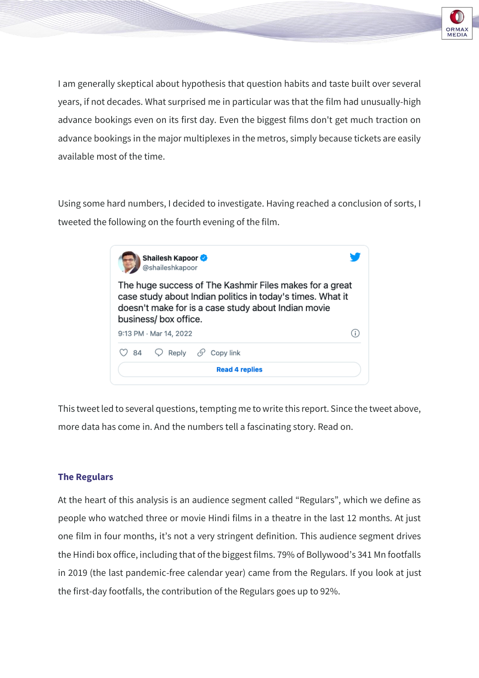

I am generally skeptical about hypothesis that question habits and taste built over several years, if not decades. What surprised me in particular was that the film had unusually-high advance bookings even on its first day. Even the biggest films don't get much traction on advance bookings in the major multiplexes in the metros, simply because tickets are easily available most of the time.

Using some hard numbers, I decided to investigate. Having reached a conclusion of sorts, I tweeted the following on the fourth evening of the film.



This tweet led to several questions, tempting me to write this report. Since the tweet above, more data has come in. And the numbers tell a fascinating story. Read on.

### **The Regulars**

At the heart of this analysis is an audience segment called "Regulars", which we define as people who watched three or movie Hindi films in a theatre in the last 12 months. At just one film in four months, it's not a very stringent definition. This audience segment drives the Hindi box office, including that of the biggest films. 79% of Bollywood's 341 Mn footfalls in 2019 (the last pandemic-free calendar year) came from the Regulars. If you look at just the first-day footfalls, the contribution of the Regulars goes up to 92%.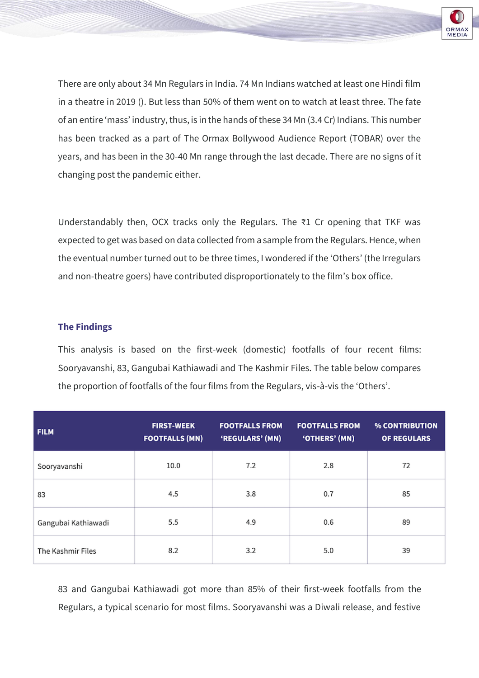

There are only about 34 Mn Regulars in India. 74 Mn Indians watched at least one Hindi film in a theatre in 2019 (). But less than 50% of them went on to watch at least three. The fate of an entire 'mass' industry, thus, is in the hands of these 34 Mn (3.4 Cr) Indians. This number has been tracked as a part of The Ormax Bollywood Audience Report (TOBAR) over the years, and has been in the 30-40 Mn range through the last decade. There are no signs of it changing post the pandemic either.

Understandably then, OCX tracks only the Regulars. The ₹1 Cr opening that TKF was expected to get was based on data collected from a sample from the Regulars. Hence, when the eventual number turned out to be three times, I wondered if the 'Others' (the Irregulars and non-theatre goers) have contributed disproportionately to the film's box office.

### **The Findings**

This analysis is based on the first-week (domestic) footfalls of four recent films: Sooryavanshi, 83, Gangubai Kathiawadi and The Kashmir Files. The table below compares the proportion of footfalls of the four films from the Regulars, vis-à-vis the 'Others'.

| <b>FILM</b>         | <b>FIRST-WEEK</b><br><b>FOOTFALLS (MN)</b> | <b>FOOTFALLS FROM</b><br>'REGULARS' (MN) | <b>FOOTFALLS FROM</b><br>'OTHERS' (MN) | <b>% CONTRIBUTION</b><br><b>OF REGULARS</b> |
|---------------------|--------------------------------------------|------------------------------------------|----------------------------------------|---------------------------------------------|
| Sooryavanshi        | 10.0                                       | 7.2                                      | 2.8                                    | 72                                          |
| 83                  | 4.5                                        | 3.8                                      | 0.7                                    | 85                                          |
| Gangubai Kathiawadi | 5.5                                        | 4.9                                      | 0.6                                    | 89                                          |
| The Kashmir Files   | 8.2                                        | 3.2                                      | 5.0                                    | 39                                          |

83 and Gangubai Kathiawadi got more than 85% of their first-week footfalls from the Regulars, a typical scenario for most films. Sooryavanshi was a Diwali release, and festive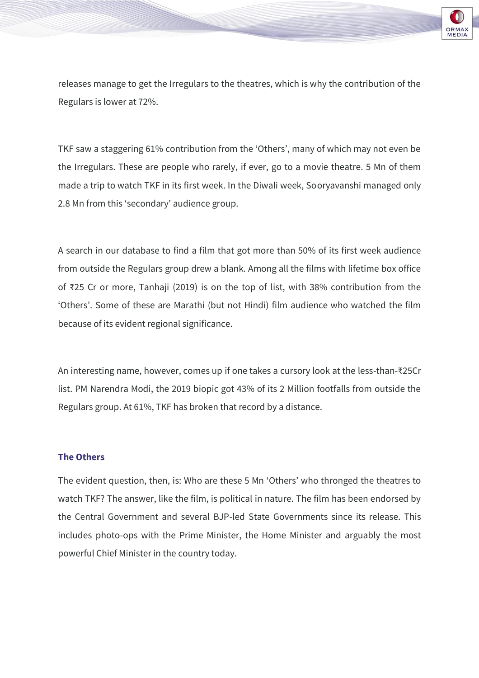

releases manage to get the Irregulars to the theatres, which is why the contribution of the Regulars is lower at 72%.

TKF saw a staggering 61% contribution from the 'Others', many of which may not even be the Irregulars. These are people who rarely, if ever, go to a movie theatre. 5 Mn of them made a trip to watch TKF in its first week. In the Diwali week, Sooryavanshi managed only 2.8 Mn from this 'secondary' audience group.

A search in our database to find a film that got more than 50% of its first week audience from outside the Regulars group drew a blank. Among all the films with lifetime box office of ₹25 Cr or more, Tanhaji (2019) is on the top of list, with 38% contribution from the 'Others'. Some of these are Marathi (but not Hindi) film audience who watched the film because of its evident regional significance.

An interesting name, however, comes up if one takes a cursory look at the less-than-₹25Cr list. PM Narendra Modi, the 2019 biopic got 43% of its 2 Million footfalls from outside the Regulars group. At 61%, TKF has broken that record by a distance.

#### **The Others**

The evident question, then, is: Who are these 5 Mn 'Others' who thronged the theatres to watch TKF? The answer, like the film, is political in nature. The film has been endorsed by the Central Government and several BJP-led State Governments since its release. This includes photo-ops with the Prime Minister, the Home Minister and arguably the most powerful Chief Minister in the country today.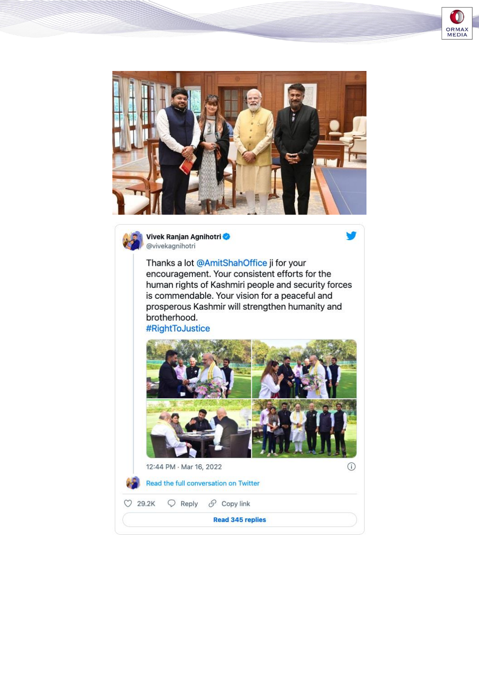





Vivek Ranjan Agnihotri @vivekagnihotri

Thanks a lot @AmitShahOffice ji for your encouragement. Your consistent efforts for the human rights of Kashmiri people and security forces is commendable. Your vision for a peaceful and prosperous Kashmir will strengthen humanity and brotherhood.

#RightToJustice

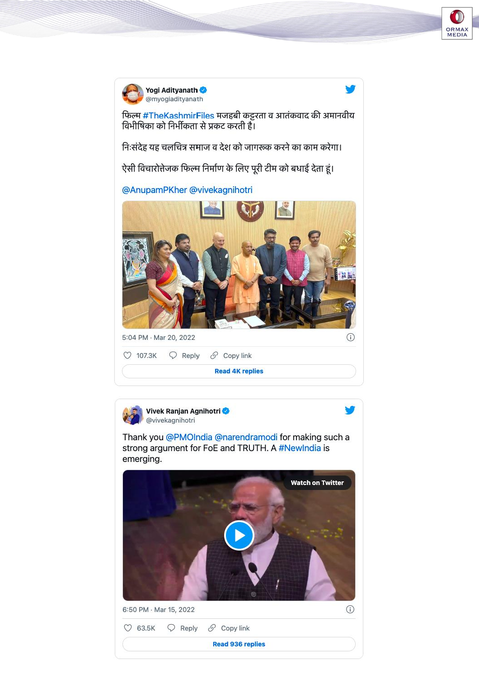



फिल्म #TheKashmirFiles मजहबी कट्टरता व आतंकवाद की अमानवीय<br>विभीषिका को निर्भीकता से प्रकट करती है।

निःसंदेह यह चलचित्र समाज व देश को जागरूक करने का काम करेगा।

ऐसी विचारोत्तेजक फिल्म निर्माण के लिए पूरी टीम को बधाई देता हूं।

#### @AnupamPKher @vivekagnihotri







Thank you @PMOIndia @narendramodi for making such a strong argument for FoE and TRUTH. A #NewIndia is emerging.

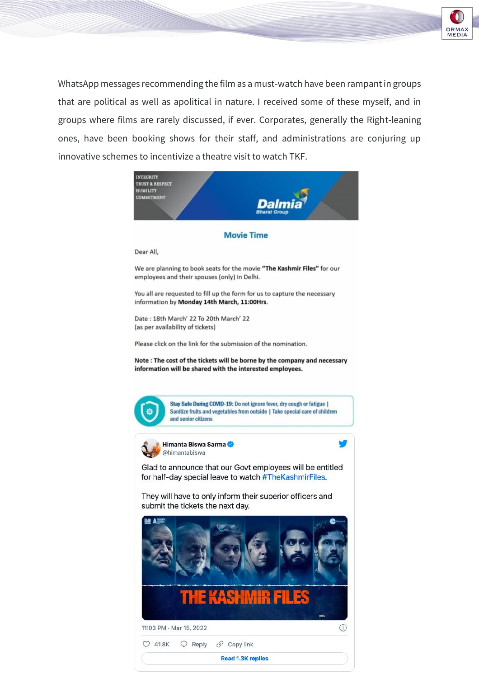

WhatsApp messages recommending the film as a must-watch have been rampant in groups that are political as well as apolitical in nature. I received some of these myself, and in groups where films are rarely discussed, if ever. Corporates, generally the Right-leaning ones, have been booking shows for their staff, and administrations are conjuring up innovative schemes to incentivize a theatre visit to watch TKF.



You all are requested to fill up the form for us to capture the necessary information by Monday 14th March, 11:00Hrs.

Date: 18th March' 22 To 20th March' 22 (as per availability of tickets)

Please click on the link for the submission of the nomination.

Note: The cost of the tickets will be borne by the company and necessary information will be shared with the interested employees.



Stay Safe During COVID-19: Do not ignore fever, dry cough or fatigue | Sanitize fruits and vegetables from outside | Take special care of children and senior citizens



Himanta Biswa Sarma @himantabiswa

Glad to announce that our Govt employees will be entitled for half-day special leave to watch #TheKashmirFiles.

They will have to only inform their superior officers and submit the tickets the next day.